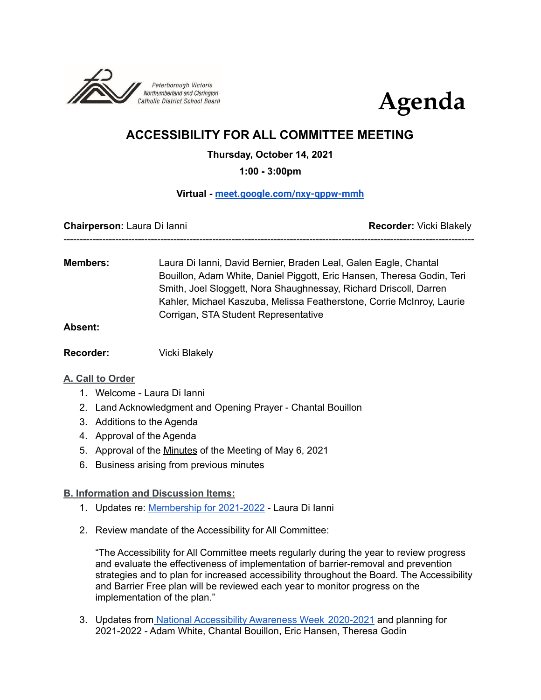



# **ACCESSIBILITY FOR ALL COMMITTEE MEETING**

**Thursday, October 14, 2021**

**1:00 - 3:00pm**

### **Virtual - [meet.google.com/nxy-qppw-mmh](http://meet.google.com/nxy-qppw-mmh)**

**Chairperson:** Laura Di Ianni **Recorder:** Vicki Blakely -------------------------------------------------------------------------------------------------------------------------------

**Members:** Laura Di Ianni, David Bernier, Braden Leal, Galen Eagle, Chantal Bouillon, Adam White, Daniel Piggott, Eric Hansen, Theresa Godin, Teri Smith, Joel Sloggett, Nora Shaughnessay, Richard Driscoll, Darren Kahler, Michael Kaszuba, Melissa Featherstone, Corrie McInroy, Laurie Corrigan, STA Student Representative

### **Absent:**

**Recorder:** Vicki Blakely

### **A. Call to Order**

- 1. Welcome Laura Di Ianni
- 2. Land Acknowledgment and Opening Prayer Chantal Bouillon
- 3. Additions to the Agenda
- 4. Approval of the Agenda
- 5. Approval of the [Minutes](https://docs.google.com/document/d/1Xvr0ijR0x8bAFiIWZQVFNuzOkKiEEy00HNDGIE88c0g/edit?usp=sharing) of the Meeting of May 6, 2021
- 6. Business arising from previous minutes

### **B. Information and Discussion Items:**

- 1. Updates re: [Membership](https://docs.google.com/document/d/1XpXBZTBS_TDSWppIvSBPstbtuHv7kX0qSOMztzWAmNE/edit?usp=sharing) for 2021-2022 Laura Di Ianni
- 2. Review mandate of the Accessibility for All Committee:

"The Accessibility for All Committee meets regularly during the year to review progress and evaluate the effectiveness of implementation of barrier-removal and prevention strategies and to plan for increased accessibility throughout the Board. The Accessibility and Barrier Free plan will be reviewed each year to monitor progress on the implementation of the plan."

3. Updates from National [Accessibility](https://docs.google.com/document/d/1Jv_P2Sl9_adkAkES52I_hDhdOn1Z6VoVfy4BsKAtvZo/edit?usp=sharing) Awareness Week 2020-2021 and planning for 2021-2022 - Adam White, Chantal Bouillon, Eric Hansen, Theresa Godin